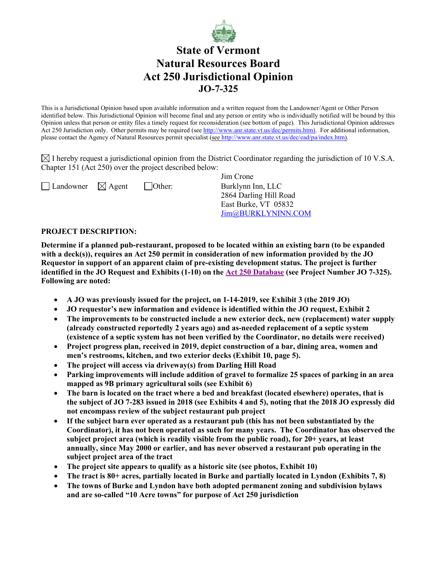

## **State of Vermont Natural Resources Board Act 250 Jurisdictional Opinion JO-7-325**

This is a Jurisdictional Opinion based upon available information and a written request from the Landowner/Agent or Other Person identified below. This Jurisdictional Opinion will become final and any person or entity who is individually notified will be bound by this Opinion unless that person or entity files a timely request for reconsideration (see bottom of page). This Jurisdictional Opinion addresses Act 250 Jurisdiction only. Other permits may be required (see [http://www.anr.state.vt.us/dec/permits.htm\)](http://www.anr.state.vt.us/dec/permits.htm). For additional information, please contact the Agency of Natural Resources permit specialist (see [http://www.anr.state.vt.us/dec/ead/pa/index.htm\)](http://www.anr.state.vt.us/dec/ead/pa/index.htm).

 $\boxtimes$  I hereby request a jurisdictional opinion from the District Coordinator regarding the jurisdiction of 10 V.S.A. Chapter 151 (Act 250) over the project described below:

 $\Box$  Landowner  $\Box$  Agent  $\Box$  Other: Burklynn Inn, LLC

Jim Crone 2864 Darling Hill Road East Burke, VT 05832 [Jim@BURKLYNINN.COM](mailto:Jim@BURKLYNINN.COM)

## **PROJECT DESCRIPTION:**

**Determine if a planned pub-restaurant, proposed to be located within an existing barn (to be expanded with a deck(s)), requires an Act 250 permit in consideration of new information provided by the JO Requestor in support of an apparent claim of pre-existing development status. The project is further identified in the JO Request and Exhibits (1-10) on the [Act 250 Database](https://anrweb.vt.gov/ANR/Act250/default.aspx) (see Project Number JO 7-325). Following are noted:**

- **A JO was previously issued for the project, on 1-14-2019, see Exhibit 3 (the 2019 JO)**
- **JO requestor's new information and evidence is identified within the JO request, Exhibit 2**
- **The improvements to be constructed include a new exterior deck, new (replacement) water supply (already constructed reportedly 2 years ago) and as-needed replacement of a septic system (existence of a septic system has not been verified by the Coordinator, no details were received)**
- **Project progress plan, received in 2019, depict construction of a bar, dining area, women and men's restrooms, kitchen, and two exterior decks (Exhibit 10, page 5).**
- **The project will access via driveway(s) from Darling Hill Road**
- **Parking improvements will include addition of gravel to formalize 25 spaces of parking in an area mapped as 9B primary agricultural soils (see Exhibit 6)**
- **The barn is located on the tract where a bed and breakfast (located elsewhere) operates, that is the subject of JO 7-283 issued in 2018 (see Exhibits 4 and 5), noting that the 2018 JO expressly did not encompass review of the subject restaurant pub project**
- **If the subject barn ever operated as a restaurant pub (this has not been substantiated by the Coordinator), it has not been operated as such for many years. The Coordinator has observed the subject project area (which is readily visible from the public road), for 20+ years, at least annually, since May 2000 or earlier, and has never observed a restaurant pub operating in the subject project area of the tract**
- **The project site appears to qualify as a historic site (see photos, Exhibit 10)**
- **The tract is 80+ acres, partially located in Burke and partially located in Lyndon (Exhibits 7, 8)**
- **The towns of Burke and Lyndon have both adopted permanent zoning and subdivision bylaws and are so-called "10 Acre towns" for purpose of Act 250 jurisdiction**